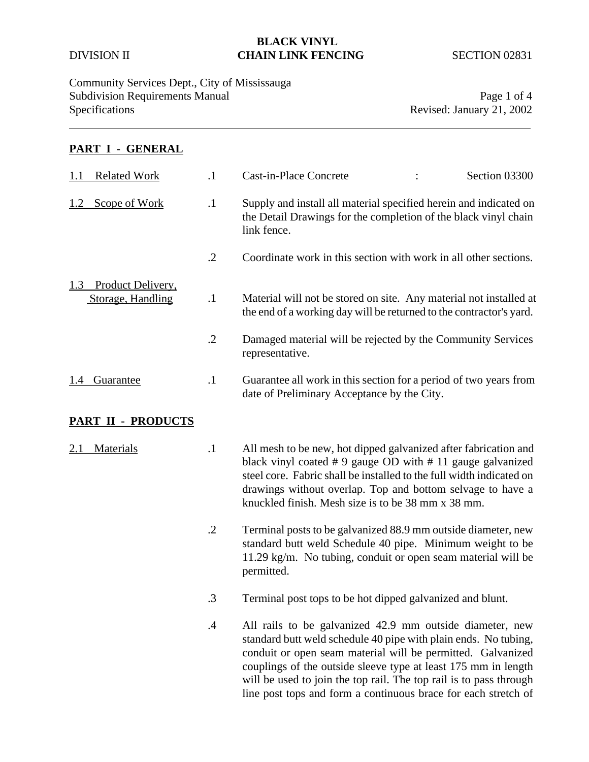## **BLACK VINYL**  DIVISION II **CHAIN LINK FENCING** SECTION 02831

Community Services Dept., City of Mississauga Subdivision Requirements Manual Page 1 of 4<br>Specifications Revised: January 21, 2002

Revised: January 21, 2002

### **PART I - GENERAL**

| <b>Related Work</b><br>1.1                    | $\cdot$ 1  | Cast-in-Place Concrete<br>Section 03300                                                                                                                                                                                                                                                                                                                                                              |
|-----------------------------------------------|------------|------------------------------------------------------------------------------------------------------------------------------------------------------------------------------------------------------------------------------------------------------------------------------------------------------------------------------------------------------------------------------------------------------|
| Scope of Work<br>1.2                          | $\cdot$    | Supply and install all material specified herein and indicated on<br>the Detail Drawings for the completion of the black vinyl chain<br>link fence.                                                                                                                                                                                                                                                  |
|                                               | $\cdot$ .2 | Coordinate work in this section with work in all other sections.                                                                                                                                                                                                                                                                                                                                     |
| Product Delivery,<br>1.3<br>Storage, Handling | $\cdot$    | Material will not be stored on site. Any material not installed at<br>the end of a working day will be returned to the contractor's yard.                                                                                                                                                                                                                                                            |
|                                               | $\cdot$ .2 | Damaged material will be rejected by the Community Services<br>representative.                                                                                                                                                                                                                                                                                                                       |
| Guarantee<br>1.4                              | $\cdot$    | Guarantee all work in this section for a period of two years from<br>date of Preliminary Acceptance by the City.                                                                                                                                                                                                                                                                                     |
| PART II - PRODUCTS                            |            |                                                                                                                                                                                                                                                                                                                                                                                                      |
| Materials<br>2.1                              | $\cdot$ 1  | All mesh to be new, hot dipped galvanized after fabrication and<br>black vinyl coated $# 9$ gauge OD with $# 11$ gauge galvanized<br>steel core. Fabric shall be installed to the full width indicated on<br>drawings without overlap. Top and bottom selvage to have a<br>knuckled finish. Mesh size is to be 38 mm x 38 mm.                                                                        |
|                                               | $\cdot$ .2 | Terminal posts to be galvanized 88.9 mm outside diameter, new<br>standard butt weld Schedule 40 pipe. Minimum weight to be<br>11.29 kg/m. No tubing, conduit or open seam material will be<br>permitted.                                                                                                                                                                                             |
|                                               | $\cdot$ 3  | Terminal post tops to be hot dipped galvanized and blunt.                                                                                                                                                                                                                                                                                                                                            |
|                                               | $\cdot$    | All rails to be galvanized 42.9 mm outside diameter, new<br>standard butt weld schedule 40 pipe with plain ends. No tubing,<br>conduit or open seam material will be permitted. Galvanized<br>couplings of the outside sleeve type at least 175 mm in length<br>will be used to join the top rail. The top rail is to pass through<br>line post tops and form a continuous brace for each stretch of |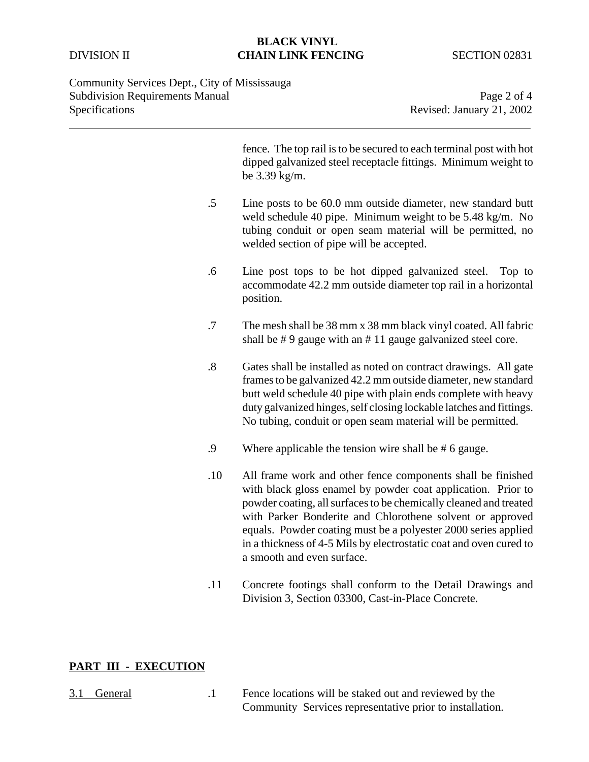## **BLACK VINYL**  DIVISION II **CHAIN LINK FENCING** SECTION 02831

Community Services Dept., City of Mississauga Subdivision Requirements Manual Page 2 of 4<br>Specifications Revised: January 21, 2002

Revised: January 21, 2002

| fence. The top rail is to be secured to each terminal post with hot<br>dipped galvanized steel receptacle fittings. Minimum weight to<br>be $3.39$ kg/m.                                                                                                                                                                                                                                                                            |
|-------------------------------------------------------------------------------------------------------------------------------------------------------------------------------------------------------------------------------------------------------------------------------------------------------------------------------------------------------------------------------------------------------------------------------------|
| Line posts to be 60.0 mm outside diameter, new standard butt<br>weld schedule 40 pipe. Minimum weight to be 5.48 kg/m. No<br>tubing conduit or open seam material will be permitted, no<br>welded section of pipe will be accepted.                                                                                                                                                                                                 |
| Line post tops to be hot dipped galvanized steel.<br>Top to<br>accommodate 42.2 mm outside diameter top rail in a horizontal<br>position.                                                                                                                                                                                                                                                                                           |
| The mesh shall be 38 mm x 38 mm black vinyl coated. All fabric<br>shall be $# 9$ gauge with an $# 11$ gauge galvanized steel core.                                                                                                                                                                                                                                                                                                  |
| Gates shall be installed as noted on contract drawings. All gate<br>frames to be galvanized 42.2 mm outside diameter, new standard<br>butt weld schedule 40 pipe with plain ends complete with heavy<br>duty galvanized hinges, self closing lockable latches and fittings.<br>No tubing, conduit or open seam material will be permitted.                                                                                          |
| Where applicable the tension wire shall be $#6$ gauge.                                                                                                                                                                                                                                                                                                                                                                              |
| All frame work and other fence components shall be finished<br>with black gloss enamel by powder coat application. Prior to<br>powder coating, all surfaces to be chemically cleaned and treated<br>with Parker Bonderite and Chlorothene solvent or approved<br>equals. Powder coating must be a polyester 2000 series applied<br>in a thickness of 4-5 Mils by electrostatic coat and oven cured to<br>a smooth and even surface. |
| Concrete footings shall conform to the Detail Drawings and<br>Division 3, Section 03300, Cast-in-Place Concrete.                                                                                                                                                                                                                                                                                                                    |
|                                                                                                                                                                                                                                                                                                                                                                                                                                     |

## **PART III - EXECUTION**

3.1 General .1 Fence locations will be staked out and reviewed by the Community Services representative prior to installation.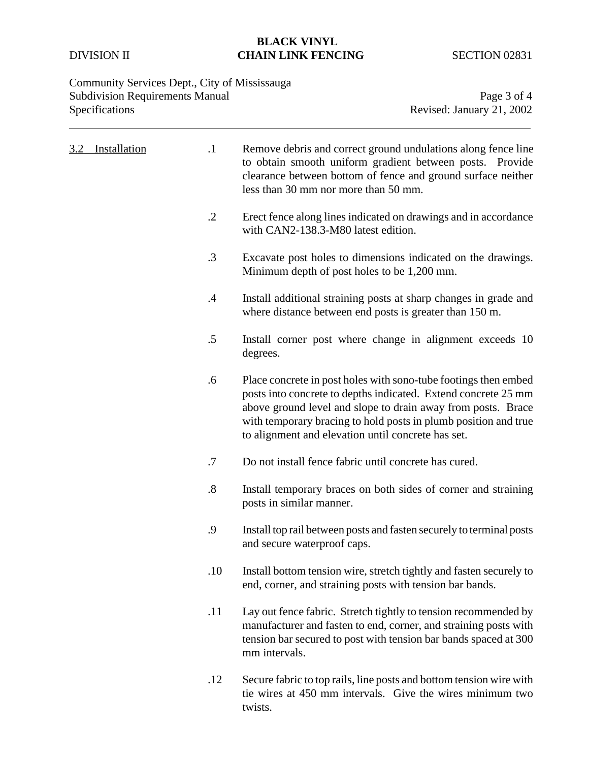## **BLACK VINYL DIVISION II CHAIN LINK FENCING** SECTION 02831

# Community Services Dept., City of Mississauga Subdivision Requirements Manual Page 3 of 4<br>Specifications Revised: January 21, 2002

Revised: January 21, 2002

| Installation<br>3.2 | $\cdot$ 1         | Remove debris and correct ground undulations along fence line<br>to obtain smooth uniform gradient between posts. Provide<br>clearance between bottom of fence and ground surface neither<br>less than 30 mm nor more than 50 mm.                                                                                          |
|---------------------|-------------------|----------------------------------------------------------------------------------------------------------------------------------------------------------------------------------------------------------------------------------------------------------------------------------------------------------------------------|
|                     | $\cdot$ .2        | Erect fence along lines indicated on drawings and in accordance<br>with CAN2-138.3-M80 latest edition.                                                                                                                                                                                                                     |
|                     | .3                | Excavate post holes to dimensions indicated on the drawings.<br>Minimum depth of post holes to be 1,200 mm.                                                                                                                                                                                                                |
|                     | $\cdot$ 4         | Install additional straining posts at sharp changes in grade and<br>where distance between end posts is greater than 150 m.                                                                                                                                                                                                |
|                     | .5                | Install corner post where change in alignment exceeds 10<br>degrees.                                                                                                                                                                                                                                                       |
|                     | .6                | Place concrete in post holes with sono-tube footings then embed<br>posts into concrete to depths indicated. Extend concrete 25 mm<br>above ground level and slope to drain away from posts. Brace<br>with temporary bracing to hold posts in plumb position and true<br>to alignment and elevation until concrete has set. |
|                     | .7                | Do not install fence fabric until concrete has cured.                                                                                                                                                                                                                                                                      |
|                     | $\boldsymbol{.8}$ | Install temporary braces on both sides of corner and straining<br>posts in similar manner.                                                                                                                                                                                                                                 |
|                     | .9                | Install top rail between posts and fasten securely to terminal posts<br>and secure waterproof caps.                                                                                                                                                                                                                        |
|                     | .10               | Install bottom tension wire, stretch tightly and fasten securely to<br>end, corner, and straining posts with tension bar bands.                                                                                                                                                                                            |
|                     | .11               | Lay out fence fabric. Stretch tightly to tension recommended by<br>manufacturer and fasten to end, corner, and straining posts with<br>tension bar secured to post with tension bar bands spaced at 300<br>mm intervals.                                                                                                   |
|                     | .12               | Secure fabric to top rails, line posts and bottom tension wire with<br>tie wires at 450 mm intervals. Give the wires minimum two<br>twists.                                                                                                                                                                                |